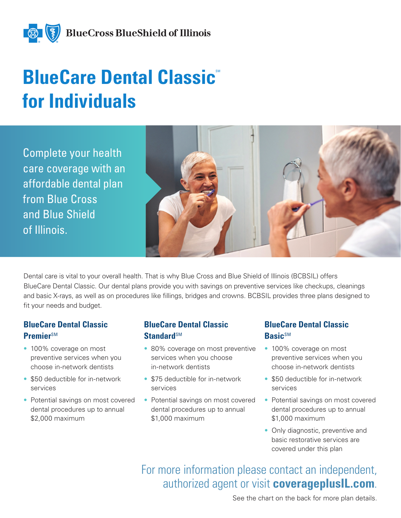

# **BlueCare Dental Classic**® **for Individuals**

Complete your health care coverage with an affordable dental plan from Blue Cross and Blue Shield of Illinois.



Dental care is vital to your overall health. That is why Blue Cross and Blue Shield of Illinois (BCBSIL) offers BlueCare Dental Classic. Our dental plans provide you with savings on preventive services like checkups, cleanings and basic X-rays, as well as on procedures like fillings, bridges and crowns. BCBSIL provides three plans designed to fit your needs and budget.

### **BlueCare Dental Classic Premier**SM

- 100% coverage on most preventive services when you choose in-network dentists
- \$50 deductible for in-network services
- Potential savings on most covered dental procedures up to annual \$2,000 maximum

#### **BlueCare Dental Classic Standard**SM

- 80% coverage on most preventive services when you choose in-network dentists
- \$75 deductible for in-network services
- Potential savings on most covered dental procedures up to annual \$1,000 maximum

### **BlueCare Dental Classic Basic**<sup>SM</sup>

- 100% coverage on most preventive services when you choose in-network dentists
- \$50 deductible for in-network services
- Potential savings on most covered dental procedures up to annual \$1,000 maximum
- Only diagnostic, preventive and basic restorative services are covered under this plan

# For more information please contact an independent, authorized agent or visit **coverageplusIL.com**.

See the chart on the back for more plan details.